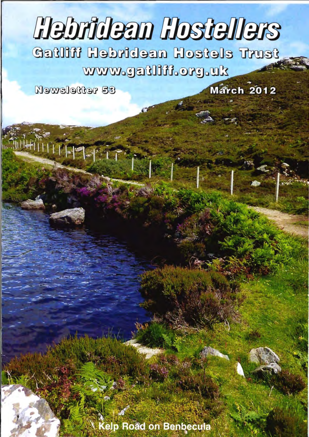# **Hebrideem Hostellers**

**fert eletech neebhdeh fillteb** www.gatlifi.org.uk

**March 2012** 

Mewsletter 53

 $\frac{1}{2} \left( \frac{1}{2} \right) \left( \frac{1}{2} \right) \left( \frac{1}{2} \right) \left( \frac{1}{2} \right) \left( \frac{1}{2} \right) \left( \frac{1}{2} \right) \left( \frac{1}{2} \right) \left( \frac{1}{2} \right) \left( \frac{1}{2} \right) \left( \frac{1}{2} \right) \left( \frac{1}{2} \right) \left( \frac{1}{2} \right) \left( \frac{1}{2} \right) \left( \frac{1}{2} \right) \left( \frac{1}{2} \right) \left( \frac{1}{2} \right) \left( \frac$ 

elp Road on Benbecula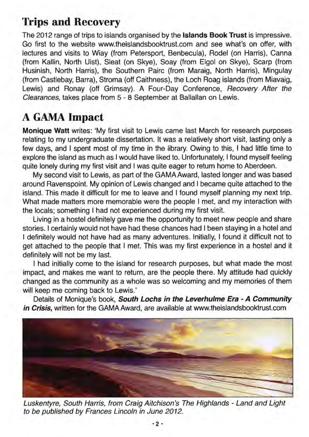## Trips and Recovery

The 2012 range of trips to islands organised by the Islands Book Trust is impressive. Go first to the website www.theislandsbooktrust.com and see what's on offer, with lectures and visits to Wiay (from Petersport, Benbecula), Rodel (on Harris), Canna (from Kallin, North Uist), Sleat (on Skye), Soay (from Elgol on Skye), Scarp (from Husinish, North Harris), the Southern Pairc (from Maraig, North Harris), Mingulay (from Castlebay, Barra), Stroma (off Caithness), the Loch Roag islands (from Miavaig, Lewis) and Ronay (off Grimsay). A Four-Day Conference, Recovery After the Clearances, takes place from 5 - 8 September at Ballallan on Lewis.

# A GAMA Impact

Monique Watt writes: 'My first visit to Lewis came last March for research purposes relating to my undergraduate dissertation. It was a relatively short visit, lasting only a few days, and I spent most of my time in the library. Owing to this, I had little time to explore the island as much as I would have liked to. Unfortunately, I found myself feeling quite lonely during my first visit and I was quite eager to return home to Aberdeen.

My second visit to Lewis, as part of the GAMAAward, lasted longer and was based around Ravenspoint. My opinion of Lewis changed and I became quite attached to the island. This made it difficult for me to leave and I found myself planning my next trip. What made matters more memorable were the people I met, and my interaction with the locals; something I had not experienced during my first visit.

Living in a hostel definitely gave me the opportunity to meet new people and share stories. I certainly would not have had these chances had I been staying in a hotel and I definitely would not have had as many adventures. Initially, I found it difficult not to get attached to the people that I met. This was my first experience in a hostel and it definitely will not be my last.

I had initially come to the island for research purposes, but what made the most impact, and makes me want to return, are the people there. My attitude had quickly changed as the community as a whole was so welcoming and my memories of them will keep me coming back to Lewis.'

Details of Monique's book, South Lochs in the Leverhulme Era - A Community in Crisis, written for the GAMA Award, are available at www.theislandsbooktrust.com



Luskentyre, South Harris, from Craig Aitchison's The Highlands - Land and Light to be published by Frances Lincoln in June 2012.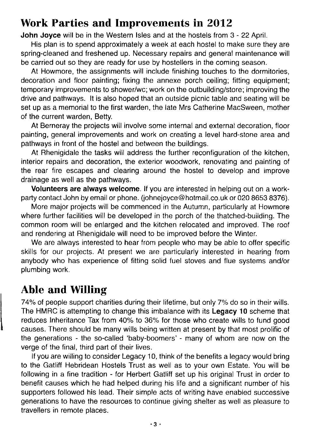# **Work Parties and Improvements in 2012**

**John Joyce** will be in the Western Isles and at the hostels from 3 - 22 April.

His plan is to spend approximately a week at each hostel to make sure they are spring-cleaned and freshened up. Necessary repairs and general maintenance will be carried out so they are ready for use by hostellers in the coming season.

At Howmore, the assignments will include finishing touches to the dormitories, decoration and floor painting; fixing the annexe porch ceiling; fitting equipment; temporary improvements to shower/wc; work on the outbuilding/store; improving the drive and pathways. It is also hoped that an outside picnic table and seating will be set up as a memorial to the first warden, the late Mrs Catherine MacSween, mother of the current warden, Betty.

At Berneray the projects will involve some internal and external decoration, floor painting, general improvements and work on creating a level hard-stone area and pathways in front of the hostel and between the buildings.

At Rhenigidale the tasks will address the further reconfiguration of the kitchen, interior repairs and decoration, the exterior woodwork, renovating and painting of the rear fire escapes and clearing around the hostel to develop and improve drainage as well as the pathways.

Volunteers are always welcome. If you are interested in helping out on a workparty contact John by email or phone. (johnejoyce@hotmail.co.uk or 020 8653 8376).

More major projects will be commenced in the Autumn, particularly at Howmore where further facilities will be developed in the porch of the thatched-building. The common room will be enlarged and the kitchen relocated and improved. The roof and rendering at Rhenigidale will need to be improved before the Winter.

We are always interested to hear from people who may be able to offer specific skills for our projects. At present we are particularly interested in hearing from anybody who has experience of fitting solid fuel stoves and flue systems and/or plumbing work.

# **Able** Willing

74% of people support charities during their lifetime, but only 7% do so in their wills. The HMRC is attempting to change this imbalance with its **Legacy 10** scheme that reduces Inheritance Tax from 40% to 36% for those who create wills to fund good causes. There should be many wills being written at present by that most prolific of the generations - the so-called 'baby-boomers' - many of whom are now on the verge of the final, third part of their lives.

If you are willing to consider Legacy 10, think of the benefits a legacy would bring to the Gatliff Hebridean Hostels Trust as well as to your own Estate. You will be following in a fine tradition - for Herbert Gatliff set up his original Trust in order to benefit causes which he had helped during his life and a significant number of his supporters followed his lead. Their simple acts of writing have enabled successive generations to have the resources to continue giving shelter as well as pleasure to travellers in remote places.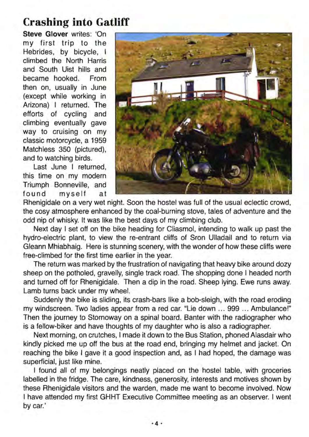### **Crashing into Gatliff**

**Steve Glover** writes: 'On my first trip to the Hebrides, by bicycle, I climbed the North Harris and South Uist hills and became hooked. From then on, usually in June (except while working in Arizona) I returned. The efforts of cycling and climbing eventually gave way to cruising on my classic motorcycle, a 1959 Matchless 350 (pictured), and to watching birds.

Last June I returned, this time on my modern Triumph Bonneville, and found myself at



Rhenigidale on a very wet night. Soon the hostel was full of the usual eclectic crowd, the cosy atmosphere enhanced by the coal-burning stove, tales of adventure and the odd nip of whisky. It was like the best days of my climbing club.

Next day I set off on the bike heading for Cliasmol, intending to walk up past the hydro-electric plant, to view the re-entrant cliffs of Sron Ulladail and to return via Gleann Mhiabhaig. Here is stunning scenery, with the wonder of how these cliffs were free-climbed for the first time earlier in the year.

The return was marked by the frustration of navigating that heavy bike around dozy sheep on the potholed, gravelly, single track road. The shopping done I headed north and turned off for Rhenigidale. Then a dip in the road. Sheep lying. Ewe runs away. Lamb turns back under my wheel.

Suddenly the bike is sliding, its crash-bars like a bob-sleigh, with the road eroding my windscreen. Two ladies appear from a red car. "Lie down ... 999 ... Ambulance!" Then the journey to Stornoway on a spinal board. Banter with the radiographer who is a fellow-biker and have thoughts of my daughter who is also a radiographer.

Next morning, on crutches, I made it down to the Bus Station, phoned Alasdair who kindly picked me up off the bus at the road end, bringing my helmet and jacket. On reaching the bike I gave it a good inspection and, as I had hoped, the damage was superficial, just like mine.

I found all of my belongings neatly placed on the hostel table, with groceries labelled in the fridge. The care, kindness, generosity, interests and motives shown by these Rhenigidale visitors and the warden, made me want to become involved. Now I have attended my first GHHT Executive Committee meeting as an observer. I went by car.'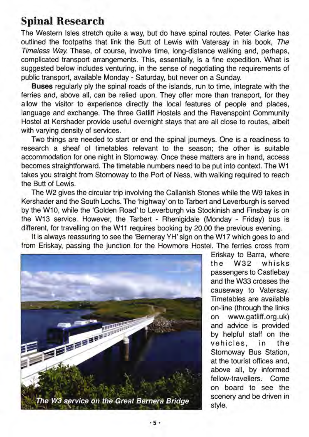## **Spinal Research**

The Western Isles stretch quite a way, but do have spinal routes. Peter Clarke has outlined the footpaths that link the Butt of Lewis with Vatersay in his book, The Timeless Way. These, of course, involve time, long-distance walking and, perhaps, complicated transport arrangements. This, essentially, is a fine expedition. What is suggested below includes venturing, in the sense of negotiating the requirements of public transport, available Monday - Saturday, but never on a Sunday.

**Buses** regularly ply the spinal roads of the islands, run to time, integrate with the ferries and, above all, can be relied upon. They offer more than transport, for they allow the visitor to experience directly the local features of people and places, language and exchange. The three Gatliff Hostels and the Ravenspoint Community Hostel at Kershader provide useful overnight stays that are all close to routes, albeit with varying density of services.

Two things are needed to start or end the spinal journeys. One is a readiness to research a sheaf of timetables relevant to the season; the other is suitable accommodation for one night in Stornoway. Once these matters are in hand, access becomes straightforward. The timetable numbers need to be put into context. The W1 takes you straight from Stornoway to the Port of Ness, with walking required to reach the Butt of Lewis.

The W2 gives the circular trip involving the Callanish Stones while the W9 takes in Kershader and the South Lochs. The 'highway' on to Tarbert and Leverburgh is served by the W10, while the 'Golden Road'to Leverburgh via Stockinish and Finsbay is on the W13 service. However, the Tarbert - Rhenigidale (Monday - Friday) bus is different, for travelling on the W11 requires booking by 20.00 the previous evening.

It is always reassuring to see the 'Berneray YH' sign on the W17 which goes to and from Eriskay, passing the junction for the Howmore Hostel. The ferries cross from



Eriskay to Barra, where the W32 whisks passengers to Castlebay and the W33 crosses the causeway to Vatersay. Timetables are available on-line (through the links on www.gatliff.org.uk) and advice is provided by helpful staff on the vehicles, in the Stornoway Bus Station, at the tourist offices and, above all, by informed fellow-travellers. Come on board to see the scenery and be driven in style.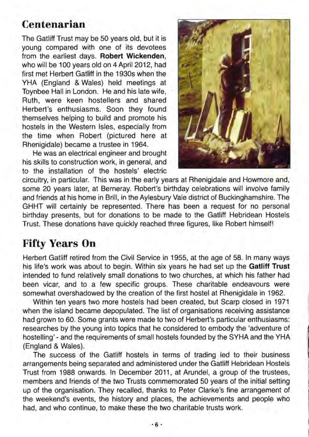#### **Centenarian**

The Gatliff Trust may be 50 years old, but it is young compared with one of its devotees from the earliest days. **Robert Wickenden,**  who will be 100 years old on 4 April 2012, had first met Herbert Gatliff in the 1930s when the YHA (England & Wales) held meetings at Toynbee Hall in London. He and his late wife, Ruth, were keen hostellers and shared Herbert's enthusiasms. Soon they found themselves helping to build and promote his hostels in the Western Isles, especially from the time when Robert (pictured here at Rhenigidale) became a trustee in 1964.

He was an electrical engineer and brought his skills to construction work, in general, and to the installation of the hostels' electric



circuitry, in particular. This was in the early years at Rhenigidale and Howmore and, some 20 years later, at Berneray. Robert's birthday celebrations will involve family and friends at his home in Brill, in the Aylesbury Vale district of Buckinghamshire. The GHHT will certainly be represented. There has been a request for no personal birthday presents, but for donations to be made to the Gatliff Hebridean Hostels Trust. These donations have quickly reached three figures, like Robert himself!

#### **Fifty Years On**

Herbert Gatliff retired from the Civil Service in 1955, at the age of 58. In many ways his life's work was about to begin. Within six years he had set up the **Gatliff Trust**  intended to fund relatively small donations to two churches, at which his father had been vicar, and to a few specific groups. These charitable endeavours were somewhat overshadowed by the creation of the first hostel at Rhenigidale in 1962.

Within ten years two more hostels had been created, but Scarp closed in 1971 when the island became depopulated. The list of organisations receiving assistance had grown to 60. Some grants were made to two of Herbert's particular enthusiasms: researches by the young into topics that he considered to embody the 'adventure of hostelling' - and the requirements of small hostels founded by the SYHA and the YHA (England & Wales).

The success of the Gatliff hostels in terms of trading led to their business arrangements being separated and administered under the Gatliff Hebridean Hostels Trust from 1988 onwards. In December 2011, at Arundel, a group of the trustees, members and friends of the two Trusts commemorated 50 years of the initial setting up of the organisation. They recalled, thanks to Peter Clarke'S fine arrangement of the weekend's events, the history and places, the achievements and people who had, and who continue, to make these the two charitable trusts work.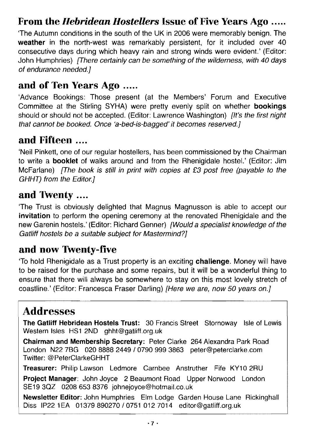## **From the** *Hebridean Hostellers* Issue of Five Years Ago .....

The Autumn conditions in the south of the UK in 2006 were memorably benign. The weather in the north-west was remarkably persistent, for it included over 40 consecutive days during which heavy rain and strong winds were evident.' (Editor: John Humphries) [There certainly can be something of the wilderness, with 40 days of endurance needed.}

#### **and of Ten Years Ago** .....

Advance Bookings: Those present (at the Members' Forum Committee at the Stirling SYHA) were pretty evenly split on whether should or should not be accepted. (Editor: Lawrence Washington) booked. Once 'a-bed-is-bagged' it becomes reserved.]

#### **and Fifteen** ....

'Neil Pinkett, one of our regular hostellers, has been commissioned by the Chairman to write a **booklet** of walks around and from the Rhenigidale hostel.' (Editor: Jim McFarlane) *[The book is still in print with copies at £3 post free (payable to the* GHHT) from the Editor.}

## **and**

'The Trust is obviously delighted that Magnus Magnusson is able to accept our **invitation** to perform the opening ceremony at the renovated Rhenigidale and the new Garenin hostels.' (Editor: Richard Genner) [Would a specialist knowledge of the Gatliff hostels be a suitable subject for Mastermind?]

## **and now Twenty-five**

'To hold Rhenigidale as a Trust property is an exciting **challenge.** Money will have to be raised for the purchase and some repairs, but it will be a wonderful thing to ensure that there will always be somewhere to stay on this most lovely stretch of coastline.' (Editor: Francesca Fraser Darling) [Here we are, now 50 years on.]

# Addresses

**The Gatliff Hebridean Hostels Trust:** 30 Francis Street Stornoway Isle of Lewis Western Isles HS1 2ND ghht@gatiiff.org.uk

**Chairman and Membership Secretary:** Peter Clarke 264 Alexandra Park Road London N227BG 02088882449/07909993863 peter@peterclarke.com Twitter: @PeterClarkeGHHT

Treasurer: Philip Lawson Ledmore Carnbee Anstruther Fife KY10 2RU

Project Manager: John Joyce 2 Beaumont Road Upper Norwood London SE19 3QZ 0208 653 8376 johnejoyce@hotmail.co.uk

Newsletter Editor: John Humphries Elm Lodge Garden House Diss IP22 1EA 01379 890270 / 0751 012 7014 editor@gatliff.org.uk